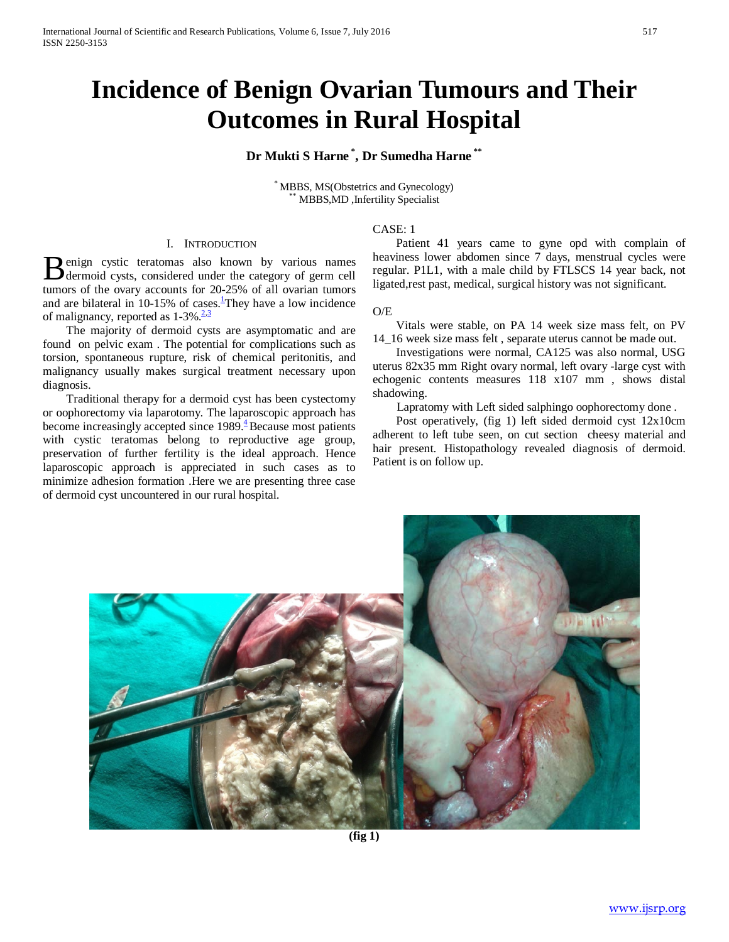# **Incidence of Benign Ovarian Tumours and Their Outcomes in Rural Hospital**

# **Dr Mukti S Harne \* , Dr Sumedha Harne \*\***

\* MBBS, MS(Obstetrics and Gynecology) \*\* MBBS,MD ,Infertility Specialist

# CASE: 1

# I. INTRODUCTION

enign cystic teratomas also known by various names **B** enign cystic teratomas also known by various names<br>dermoid cysts, considered under the category of germ cell tumors of the ovary accounts for 20-25% of all ovarian tumors and are bilateral in 10-15% of cases[.](http://www.ncbi.nlm.nih.gov/pmc/articles/PMC3113151/#B1)<sup>1</sup>They have a low incidence of malignancy, reported as  $1-3\% \cdot \frac{2\cdot3}{2}$  $1-3\% \cdot \frac{2\cdot3}{2}$  $1-3\% \cdot \frac{2\cdot3}{2}$ 

 The majority of dermoid cysts are asymptomatic and are found on pelvic exam . The potential for complications such as torsion, spontaneous rupture, risk of chemical peritonitis, and malignancy usually makes surgical treatment necessary upon diagnosis.

 Traditional therapy for a dermoid cyst has been cystectomy or oophorectomy via laparotomy. The laparoscopic approach has become increasingly accepted since  $1989<sup>4</sup>$  Because most patients with cystic teratomas belong to reproductive age group, preservation of further fertility is the ideal approach. Hence laparoscopic approach is appreciated in such cases as to minimize adhesion formation .Here we are presenting three case of dermoid cyst uncountered in our rural hospital.

 Patient 41 years came to gyne opd with complain of heaviness lower abdomen since 7 days, menstrual cycles were regular. P1L1, with a male child by FTLSCS 14 year back, not ligated,rest past, medical, surgical history was not significant.

#### O/E

 Vitals were stable, on PA 14 week size mass felt, on PV 14 16 week size mass felt, separate uterus cannot be made out.

 Investigations were normal, CA125 was also normal, USG uterus 82x35 mm Right ovary normal, left ovary -large cyst with echogenic contents measures 118 x107 mm , shows distal shadowing.

Lapratomy with Left sided salphingo oophorectomy done .

 Post operatively, (fig 1) left sided dermoid cyst 12x10cm adherent to left tube seen, on cut section cheesy material and hair present. Histopathology revealed diagnosis of dermoid. Patient is on follow up.

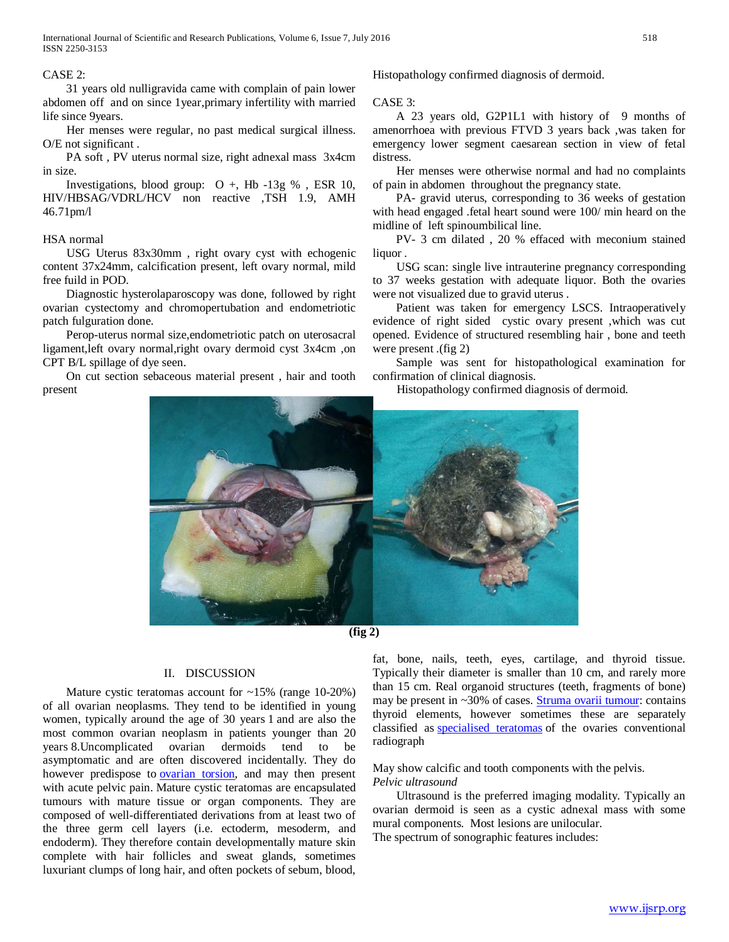## CASE 2:

 31 years old nulligravida came with complain of pain lower abdomen off and on since 1year,primary infertility with married life since 9years.

 Her menses were regular, no past medical surgical illness. O/E not significant .

 PA soft , PV uterus normal size, right adnexal mass 3x4cm in size.

Investigations, blood group:  $O +$ , Hb -13g %, ESR 10, HIV/HBSAG/VDRL/HCV non reactive ,TSH 1.9, AMH 46.71pm/l

#### HSA normal

 USG Uterus 83x30mm , right ovary cyst with echogenic content 37x24mm, calcification present, left ovary normal, mild free fuild in POD.

 Diagnostic hysterolaparoscopy was done, followed by right ovarian cystectomy and chromopertubation and endometriotic patch fulguration done.

 Perop-uterus normal size,endometriotic patch on uterosacral ligament,left ovary normal,right ovary dermoid cyst 3x4cm ,on CPT B/L spillage of dye seen.

 On cut section sebaceous material present , hair and tooth present

Histopathology confirmed diagnosis of dermoid.

#### CASE 3:

 A 23 years old, G2P1L1 with history of 9 months of amenorrhoea with previous FTVD 3 years back ,was taken for emergency lower segment caesarean section in view of fetal distress.

 Her menses were otherwise normal and had no complaints of pain in abdomen throughout the pregnancy state.

 PA- gravid uterus, corresponding to 36 weeks of gestation with head engaged .fetal heart sound were 100/ min heard on the midline of left spinoumbilical line.

 PV- 3 cm dilated , 20 % effaced with meconium stained liquor .

 USG scan: single live intrauterine pregnancy corresponding to 37 weeks gestation with adequate liquor. Both the ovaries were not visualized due to gravid uterus .

 Patient was taken for emergency LSCS. Intraoperatively evidence of right sided cystic ovary present ,which was cut opened. Evidence of structured resembling hair , bone and teeth were present .(fig 2)

 Sample was sent for histopathological examination for confirmation of clinical diagnosis.

Histopathology confirmed diagnosis of dermoid.



**(fig 2)**

# II. DISCUSSION

Mature cystic teratomas account for ~15% (range 10-20%) of all ovarian neoplasms. They tend to be identified in young women, typically around the age of 30 years 1 and are also the most common ovarian neoplasm in patients younger than 20 years 8.Uncomplicated ovarian dermoids tend to be asymptomatic and are often discovered incidentally. They do however predispose to [ovarian torsion,](http://radiopaedia.org/articles/ovarian-torsion) and may then present with acute pelvic pain. Mature cystic teratomas are encapsulated tumours with mature tissue or organ components. They are composed of well-differentiated derivations from at least two of the three germ cell layers (i.e. ectoderm, mesoderm, and endoderm). They therefore contain developmentally mature skin complete with hair follicles and sweat glands, sometimes luxuriant clumps of long hair, and often pockets of sebum, blood, fat, bone, nails, teeth, eyes, cartilage, and thyroid tissue. Typically their diameter is smaller than 10 cm, and rarely more than 15 cm. Real organoid structures (teeth, fragments of bone) may be present in ~30% of cases. [Struma ovarii tumour:](http://radiopaedia.org/articles/struma-ovarii-tumour) contains thyroid elements, however sometimes these are separately classified as [specialised teratomas](http://radiopaedia.org/articles/specialised-teratoma-of-the-ovary) of the ovaries conventional radiograph

#### May show calcific and tooth components with the pelvis. *Pelvic ultrasound*

 Ultrasound is the preferred imaging modality. Typically an ovarian dermoid is seen as a cystic adnexal mass with some mural components. Most lesions are unilocular. The spectrum of sonographic features includes: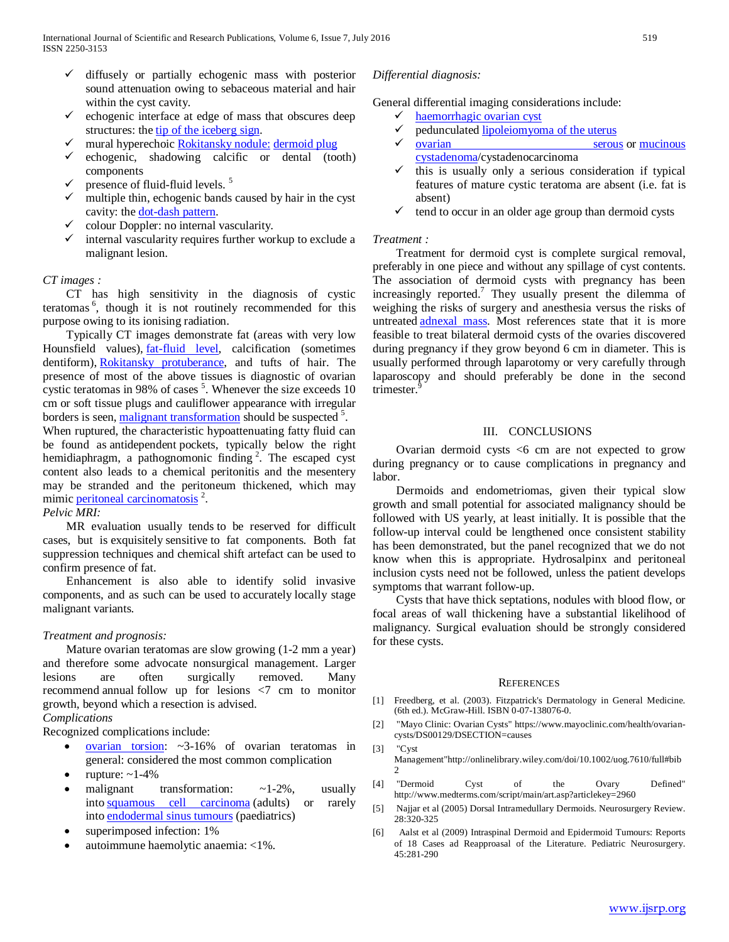- $\checkmark$  diffusely or partially echogenic mass with posterior sound attenuation owing to sebaceous material and hair within the cyst cavity.
- echogenic interface at edge of mass that obscures deep structures: the [tip of the iceberg sign.](http://radiopaedia.org/articles/tip-of-the-iceberg-sign)
- mural hyperechoic [Rokitansky nodule:](http://radiopaedia.org/articles/rokitansky-nodule) [dermoid plug](http://radiopaedia.org/articles/rokitansky-nodule)
- echogenic, shadowing calcific or dental (tooth) components
- presence of fluid-fluid levels. <sup>5</sup>
- multiple thin, echogenic bands caused by hair in the cyst cavity: the [dot-dash pattern.](http://radiopaedia.org/articles/dot-dash-pattern)
- $\checkmark$  colour Doppler: no internal vascularity.
- internal vascularity requires further workup to exclude a malignant lesion.

#### *CT images :*

 CT has high sensitivity in the diagnosis of cystic teratomas<sup>6</sup>, though it is not routinely recommended for this purpose owing to its ionising radiation.

 Typically CT images demonstrate fat (areas with very low Hounsfield values), [fat-fluid level,](http://radiopaedia.org/articles/missing?article%5Btitle%5D=fat-fluid-level) calcification (sometimes dentiform), [Rokitansky protuberance,](http://radiopaedia.org/articles/rokitansky-nodule) and tufts of hair. The presence of most of the above tissues is diagnostic of ovarian cystic teratomas in 98% of cases  $5$ . Whenever the size exceeds 10 cm or soft tissue plugs and cauliflower appearance with irregular borders is seen, [malignant transformation](http://radiopaedia.org/articles/squamous-cell-carcinoma-in-mature-cystic-teratoma-1) should be suspected<sup>5</sup>.

When ruptured, the characteristic hypoattenuating fatty fluid can be found as antidependent pockets, typically below the right hemidiaphragm, a pathognomonic finding<sup>2</sup>. The escaped cyst content also leads to a chemical peritonitis and the mesentery may be stranded and the peritoneum thickened, which may mimic [peritoneal carcinomatosis](http://radiopaedia.org/articles/peritoneal-carcinomatosis)<sup>2</sup>.

#### *Pelvic MRI:*

 MR evaluation usually tends to be reserved for difficult cases, but is exquisitely sensitive to fat components. Both fat suppression techniques and chemical shift artefact can be used to confirm presence of fat.

 Enhancement is also able to identify solid invasive components, and as such can be used to accurately locally stage malignant variants.

#### *Treatment and prognosis:*

 Mature ovarian teratomas are slow growing (1-2 mm a year) and therefore some advocate nonsurgical management. Larger lesions are often surgically removed. Many recommend annual follow up for lesions <7 cm to monitor growth, beyond which a resection is advised. *Complications*

Recognized complications include:

- $\frac{\text{ovarian}}{\text{torsion}}$ : ~3-16% of ovarian teratomas in general: considered the most common complication
- rupture:  $\sim$ 1-4%
- malignant transformation:  $\sim$ 1-2%, usually into [squamous cell carcinoma](http://radiopaedia.org/articles/squamous-cell-carcinoma-of-the-ovary) (adults) or rarely into [endodermal sinus tumours](http://radiopaedia.org/articles/ovarian-yolk-sac-tumour) (paediatrics)
- superimposed infection: 1%
- autoimmune haemolytic anaemia: <1%.

### *Differential diagnosis:*

General differential imaging considerations include:

- [haemorrhagic ovarian cyst](http://radiopaedia.org/articles/haemorrhagic-ovarian-cyst)
- pedunculated [lipoleiomyoma of the uterus](http://radiopaedia.org/articles/uterine-lipoleiomyoma)
- [ovarian serous](http://radiopaedia.org/articles/ovarian-serous-cystadenoma) or mucinous [cystadenoma/](http://radiopaedia.org/articles/ovarian-mucinous-cystadenoma)cystadenocarcinoma
- this is usually only a serious consideration if typical features of mature cystic teratoma are absent (i.e. fat is absent)
- tend to occur in an older age group than dermoid cysts

#### *Treatment :*

 Treatment for dermoid cyst is complete surgical removal, preferably in one piece and without any spillage of cyst contents. The association of dermoid cysts with pregnancy has been increasingly reported.7 They usually present the dilemma of weighing the risks of surgery and anesthesia versus the risks of untreated [adnexal mass.](http://en.wikipedia.org/wiki/Adnexal_mass) Most references state that it is more feasible to treat bilateral dermoid cysts of the ovaries discovered during pregnancy if they grow beyond 6 cm in diameter. This is usually performed through laparotomy or very carefully through laparoscopy and should preferably be done in the second trimester.

## III. CONCLUSIONS

 Ovarian dermoid cysts <6 cm are not expected to grow during pregnancy or to cause complications in pregnancy and labor.

 Dermoids and endometriomas, given their typical slow growth and small potential for associated malignancy should be followed with US yearly, at least initially. It is possible that the follow-up interval could be lengthened once consistent stability has been demonstrated, but the panel recognized that we do not know when this is appropriate. Hydrosalpinx and peritoneal inclusion cysts need not be followed, unless the patient develops symptoms that warrant follow-up.

 Cysts that have thick septations, nodules with blood flow, or focal areas of wall thickening have a substantial likelihood of malignancy. Surgical evaluation should be strongly considered for these cysts.

#### **REFERENCES**

- [1] Freedberg, et al. (2003). Fitzpatrick's Dermatology in General Medicine. (6th ed.). McGraw-Hill. ISBN 0-07-138076-0.
- [2] "Mayo Clinic: Ovarian Cysts" https://www.mayoclinic.com/health/ovariancysts/DS00129/DSECTION=causes
- [3] "Cyst Management"http://onlinelibrary.wiley.com/doi/10.1002/uog.7610/full#bib  $\gamma$
- [4] "Dermoid Cyst of the Ovary Defined" http://www.medterms.com/script/main/art.asp?articlekey=2960
- [5] Najjar et al (2005) Dorsal Intramedullary Dermoids. Neurosurgery Review. 28:320-325
- [6] Aalst et al (2009) Intraspinal Dermoid and Epidermoid Tumours: Reports of 18 Cases ad Reapproasal of the Literature. Pediatric Neurosurgery. 45:281-290